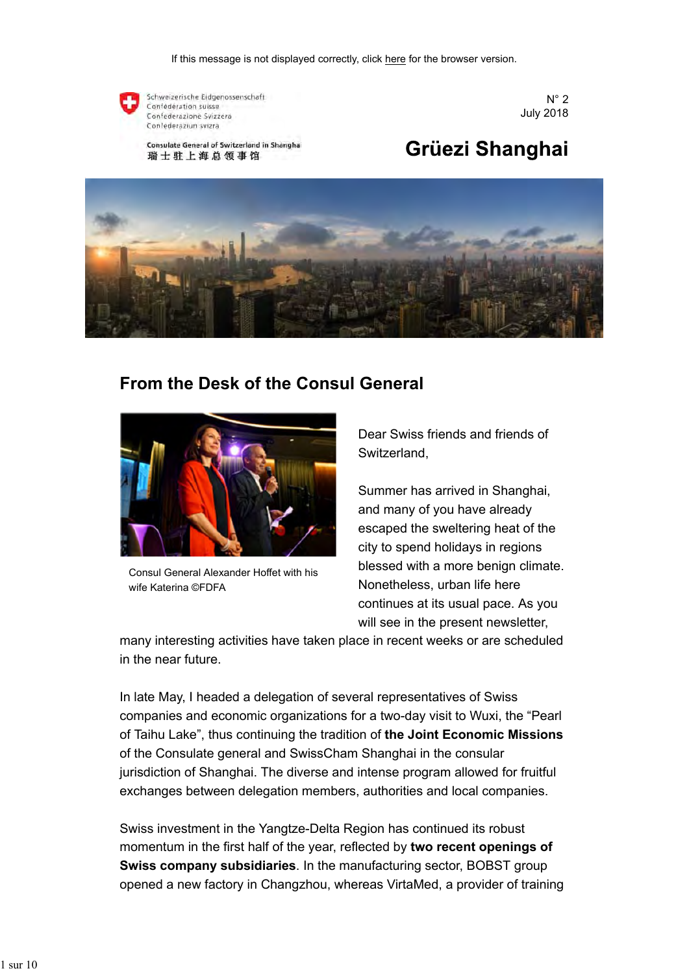

Schweizerische Eidgenossenschaft Confédération suisse Confederazione Svizzera Confederaziun svizra

Consulate General of Switzerland in Shanghai 瑞士驻上海总领事馆



# Grüezi Shanghai



### **From the Desk of the Consul General**



Consul General Alexander Hoffet with his wife Katerina ©FDFA

Dear Swiss friends and friends of Switzerland,

Summer has arrived in Shanghai, and many of you have already escaped the sweltering heat of the city to spend holidays in regions blessed with a more benign climate. Nonetheless, urban life here continues at its usual pace. As you will see in the present newsletter,

many interesting activities have taken place in recent weeks or are scheduled in the near future.

In late May, I headed a delegation of several representatives of Swiss companies and economic organizations for a two-day visit to Wuxi, the "Pearl of Taihu Lake", thus continuing the tradition of **the Joint Economic Missions** of the Consulate general and SwissCham Shanghai in the consular jurisdiction of Shanghai. The diverse and intense program allowed for fruitful exchanges between delegation members, authorities and local companies.

Swiss investment in the Yangtze-Delta Region has continued its robust momentum in the first half of the year, reflected by **two recent openings of Swiss company subsidiaries**. In the manufacturing sector, BOBST group opened a new factory in Changzhou, whereas VirtaMed, a provider of training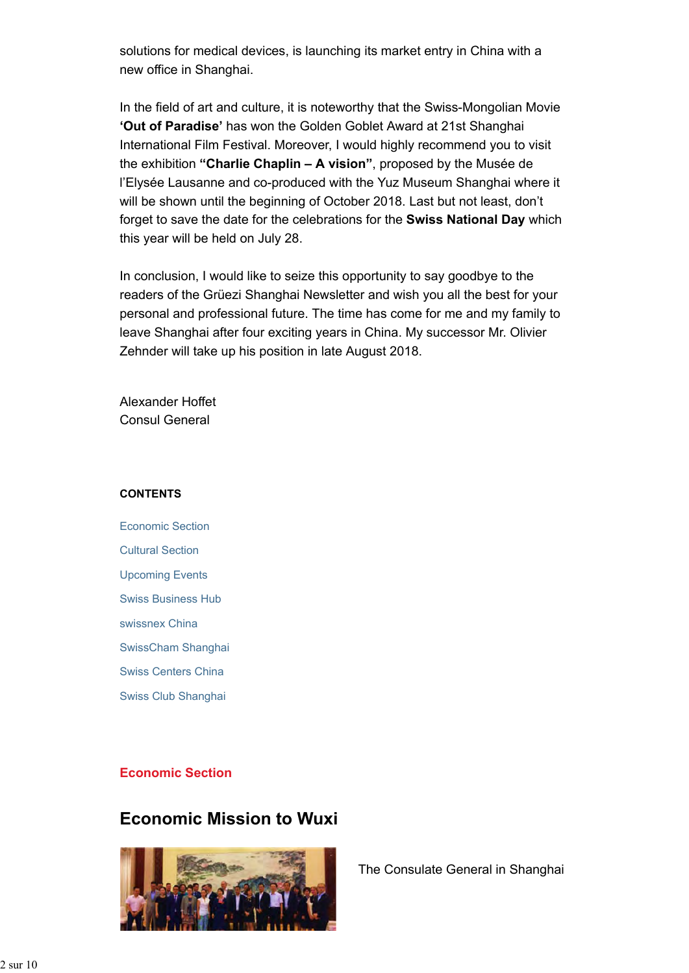solutions for medical devices, is launching its market entry in China with a new office in Shanghai.

In the field of art and culture, it is noteworthy that the Swiss-Mongolian Movie **'Out of Paradise'** has won the Golden Goblet Award at 21st Shanghai International Film Festival. Moreover, I would highly recommend you to visit the exhibition **"Charlie Chaplin – A vision"**, proposed by the Musée de l'Elysée Lausanne and co-produced with the Yuz Museum Shanghai where it will be shown until the beginning of October 2018. Last but not least, don't forget to save the date for the celebrations for the **Swiss National Day** which this year will be held on July 28.

In conclusion, I would like to seize this opportunity to say goodbye to the readers of the Grüezi Shanghai Newsletter and wish you all the best for your personal and professional future. The time has come for me and my family to leave Shanghai after four exciting years in China. My successor Mr. Olivier Zehnder will take up his position in late August 2018.

Alexander Hoffet Consul General

#### **CONTENTS**

Economic Section Cultural Section Upcoming Events Swiss Business Hub swissnex China SwissCham Shanghai Swiss Centers China Swiss Club Shanghai

#### **Economic Section**

## **Economic Mission to Wuxi**



The Consulate General in Shanghai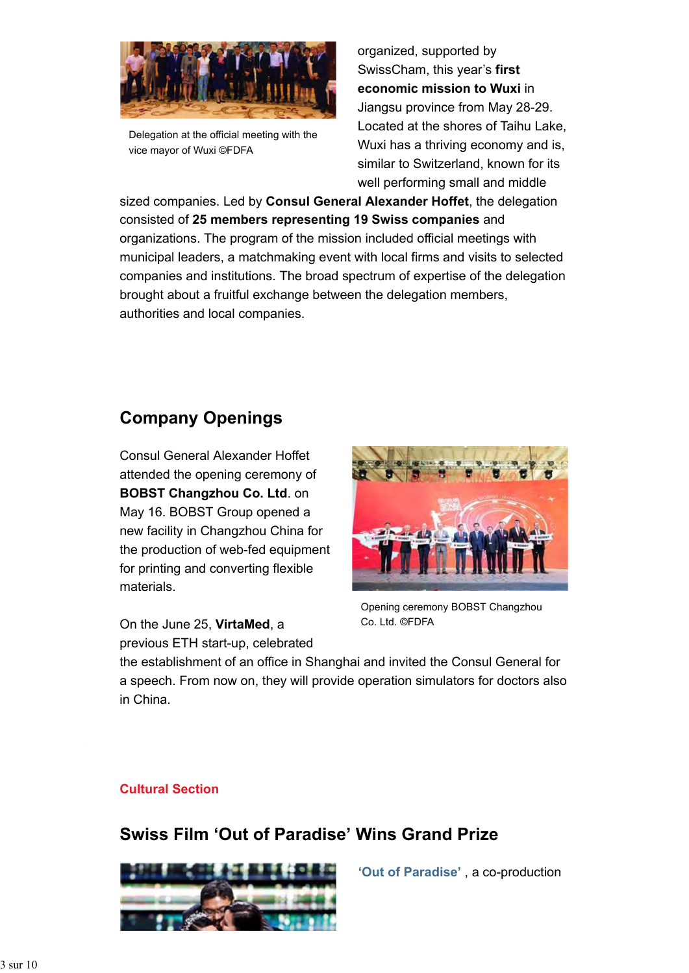

Delegation at the official meeting with the vice mayor of Wuxi ©FDFA

organized, supported by SwissCham, this year's **first economic mission to Wuxi** in Jiangsu province from May 28-29. Located at the shores of Taihu Lake, Wuxi has a thriving economy and is, similar to Switzerland, known for its well performing small and middle

sized companies. Led by **Consul General Alexander Hoffet**, the delegation consisted of **25 members representing 19 Swiss companies** and organizations. The program of the mission included official meetings with municipal leaders, a matchmaking event with local firms and visits to selected companies and institutions. The broad spectrum of expertise of the delegation brought about a fruitful exchange between the delegation members, authorities and local companies.

## **Company Openings**

Consul General Alexander Hoffet attended the opening ceremony of **BOBST Changzhou Co. Ltd**. on May 16. BOBST Group opened a new facility in Changzhou China for the production of web-fed equipment for printing and converting flexible materials.

On the June 25, **VirtaMed**, a previous ETH start-up, celebrated



Opening ceremony BOBST Changzhou Co. Ltd. ©FDFA

the establishment of an office in Shanghai and invited the Consul General for a speech. From now on, they will provide operation simulators for doctors also in China.

#### **Cultural Section**

## **Swiss Film 'Out of Paradise' Wins Grand Prize**



**'Out of Paradise'** , a co-production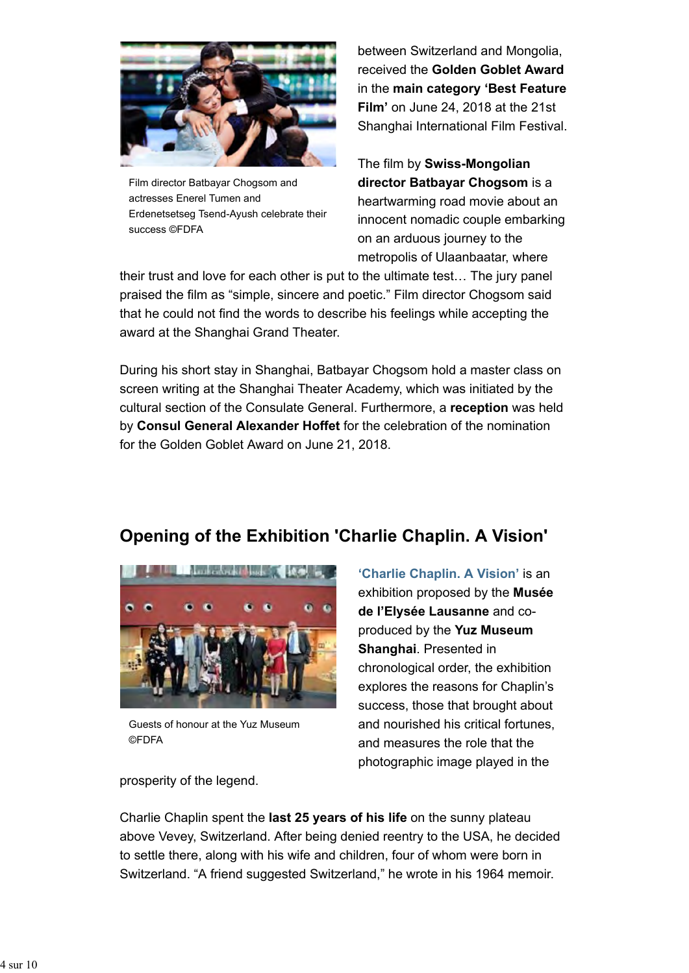

Film director Batbayar Chogsom and actresses Enerel Tumen and Erdenetsetseg Tsend-Ayush celebrate their success ©FDFA

between Switzerland and Mongolia, received the **Golden Goblet Award** in the **main category 'Best Feature Film'** on June 24, 2018 at the 21st Shanghai International Film Festival.

The film by **Swiss-Mongolian director Batbayar Chogsom** is a heartwarming road movie about an innocent nomadic couple embarking on an arduous journey to the metropolis of Ulaanbaatar, where

their trust and love for each other is put to the ultimate test… The jury panel praised the film as "simple, sincere and poetic." Film director Chogsom said that he could not find the words to describe his feelings while accepting the award at the Shanghai Grand Theater.

During his short stay in Shanghai, Batbayar Chogsom hold a master class on screen writing at the Shanghai Theater Academy, which was initiated by the cultural section of the Consulate General. Furthermore, a **reception** was held by **Consul General Alexander Hoffet** for the celebration of the nomination for the Golden Goblet Award on June 21, 2018.

## **Opening of the Exhibition 'Charlie Chaplin. A Vision'**



Guests of honour at the Yuz Museum ©FDFA

**'Charlie Chaplin. A Vision'** is an exhibition proposed by the **Musée de l'Elysée Lausanne** and coproduced by the **Yuz Museum Shanghai**. Presented in chronological order, the exhibition explores the reasons for Chaplin's success, those that brought about and nourished his critical fortunes, and measures the role that the photographic image played in the

prosperity of the legend.

Charlie Chaplin spent the **last 25 years of his life** on the sunny plateau above Vevey, Switzerland. After being denied reentry to the USA, he decided to settle there, along with his wife and children, four of whom were born in Switzerland. "A friend suggested Switzerland," he wrote in his 1964 memoir.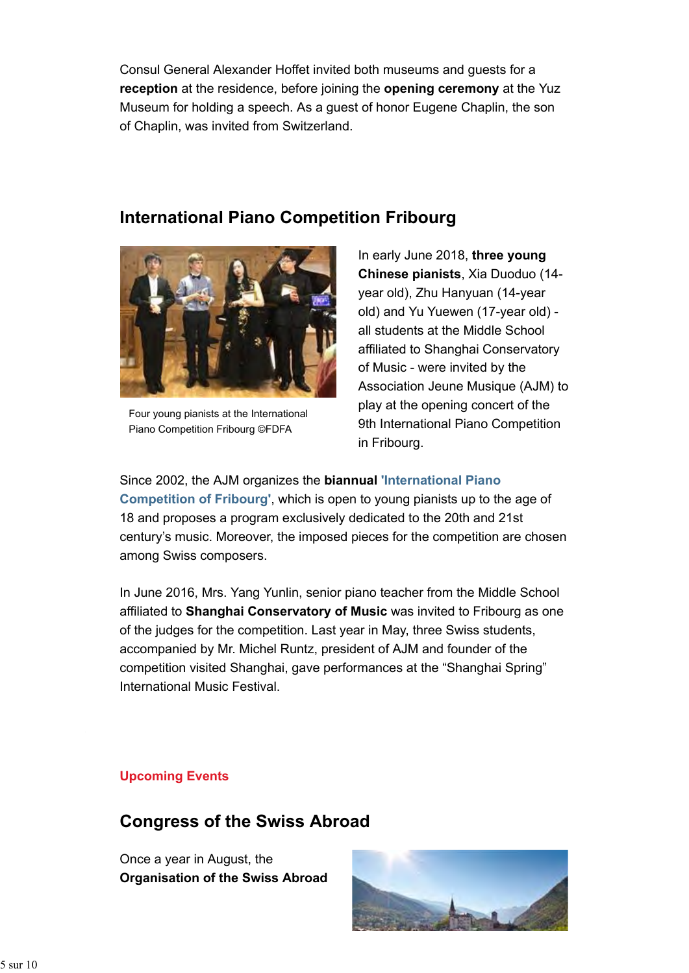Consul General Alexander Hoffet invited both museums and guests for a **reception** at the residence, before joining the **opening ceremony** at the Yuz Museum for holding a speech. As a guest of honor Eugene Chaplin, the son of Chaplin, was invited from Switzerland.

**International Piano Competition Fribourg**



Four young pianists at the International Piano Competition Fribourg ©FDFA

In early June 2018, **three young Chinese pianists**, Xia Duoduo (14 year old), Zhu Hanyuan (14-year old) and Yu Yuewen (17-year old) all students at the Middle School affiliated to Shanghai Conservatory of Music - were invited by the Association Jeune Musique (AJM) to play at the opening concert of the 9th International Piano Competition in Fribourg.

Since 2002, the AJM organizes the **biannual 'International Piano**

**Competition of Fribourg'**, which is open to young pianists up to the age of 18 and proposes a program exclusively dedicated to the 20th and 21st century's music. Moreover, the imposed pieces for the competition are chosen among Swiss composers.

In June 2016, Mrs. Yang Yunlin, senior piano teacher from the Middle School affiliated to **Shanghai Conservatory of Music** was invited to Fribourg as one of the judges for the competition. Last year in May, three Swiss students, accompanied by Mr. Michel Runtz, president of AJM and founder of the competition visited Shanghai, gave performances at the "Shanghai Spring" International Music Festival.

#### **Upcoming Events**

#### **Congress of the Swiss Abroad**

Once a year in August, the **Organisation of the Swiss Abroad**

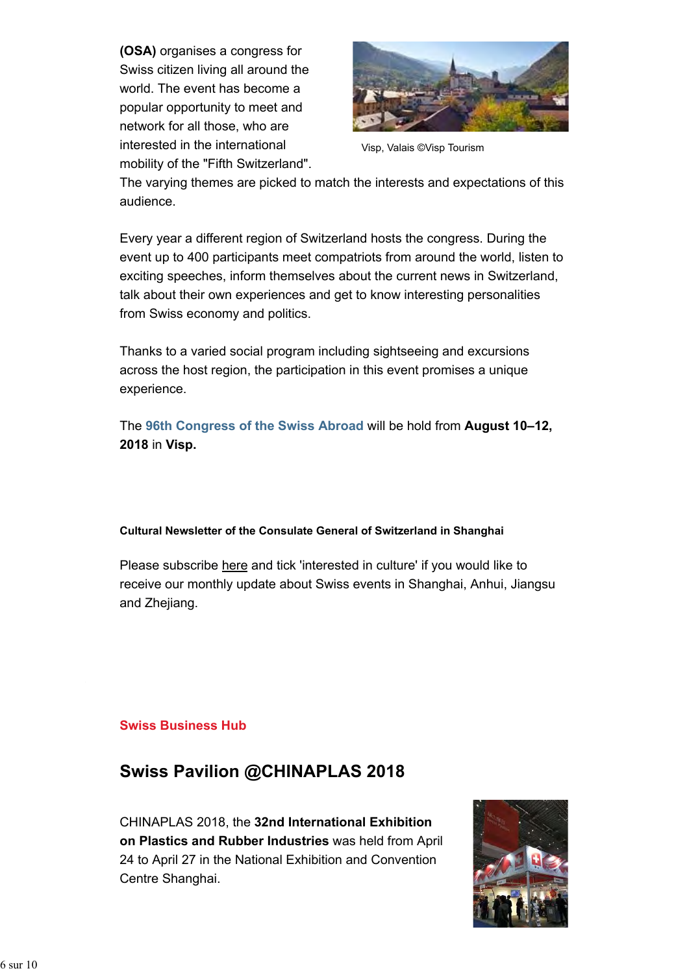**(OSA)** organises a congress for Swiss citizen living all around the world. The event has become a popular opportunity to meet and network for all those, who are interested in the international mobility of the "Fifth Switzerland".



Visp, Valais ©Visp Tourism

The varying themes are picked to match the interests and expectations of this audience.

Every year a different region of Switzerland hosts the congress. During the event up to 400 participants meet compatriots from around the world, listen to exciting speeches, inform themselves about the current news in Switzerland, talk about their own experiences and get to know interesting personalities from Swiss economy and politics.

Thanks to a varied social program including sightseeing and excursions across the host region, the participation in this event promises a unique experience.

The **96th Congress of the Swiss Abroad** will be hold from **August 10–12, 2018** in **Visp.**

#### **Cultural Newsletter of the Consulate General of Switzerland in Shanghai**

Please subscribe here and tick 'interested in culture' if you would like to receive our monthly update about Swiss events in Shanghai, Anhui, Jiangsu and Zhejiang.

#### **Swiss Business Hub**

## **Swiss Pavilion @CHINAPLAS 2018**

CHINAPLAS 2018, the **32nd International Exhibition on Plastics and Rubber Industries** was held from April 24 to April 27 in the National Exhibition and Convention Centre Shanghai.

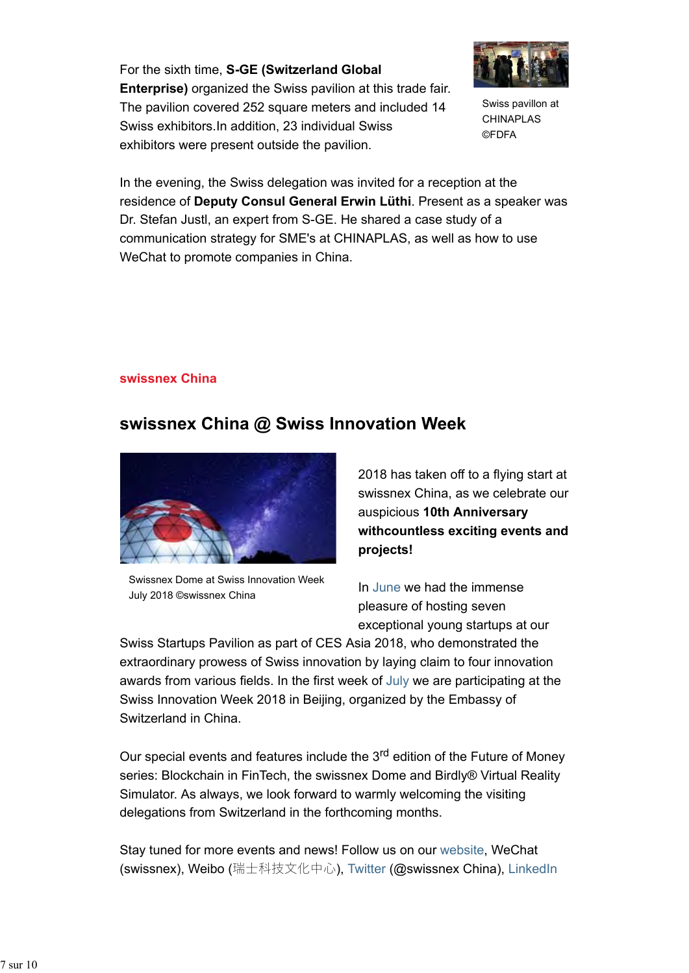For the sixth time, **S-GE (Switzerland Global Enterprise)** organized the Swiss pavilion at this trade fair. The pavilion covered 252 square meters and included 14 Swiss exhibitors.In addition, 23 individual Swiss exhibitors were present outside the pavilion.



Swiss pavillon at CHINAPLAS ©FDFA

In the evening, the Swiss delegation was invited for a reception at the residence of **Deputy Consul General Erwin Lüthi**. Present as a speaker was Dr. Stefan Justl, an expert from S-GE. He shared a case study of a communication strategy for SME's at CHINAPLAS, as well as how to use WeChat to promote companies in China.

#### **swissnex China**

## **swissnex China @ Swiss Innovation Week**



Swissnex Dome at Swiss Innovation Week July 2018 ©swissnex China

2018 has taken off to a flying start at swissnex China, as we celebrate our auspicious **10th Anniversary withcountless exciting events and projects!**

In June we had the immense pleasure of hosting seven exceptional young startups at our

Swiss Startups Pavilion as part of CES Asia 2018, who demonstrated the extraordinary prowess of Swiss innovation by laying claim to four innovation awards from various fields. In the first week of July we are participating at the Swiss Innovation Week 2018 in Beijing, organized by the Embassy of Switzerland in China.

Our special events and features include the 3<sup>rd</sup> edition of the Future of Money series: Blockchain in FinTech, the swissnex Dome and Birdly® Virtual Reality Simulator. As always, we look forward to warmly welcoming the visiting delegations from Switzerland in the forthcoming months.

Stay tuned for more events and news! Follow us on our website, WeChat (swissnex), Weibo (瑞士科技文化中心), Twitter (@swissnex China), LinkedIn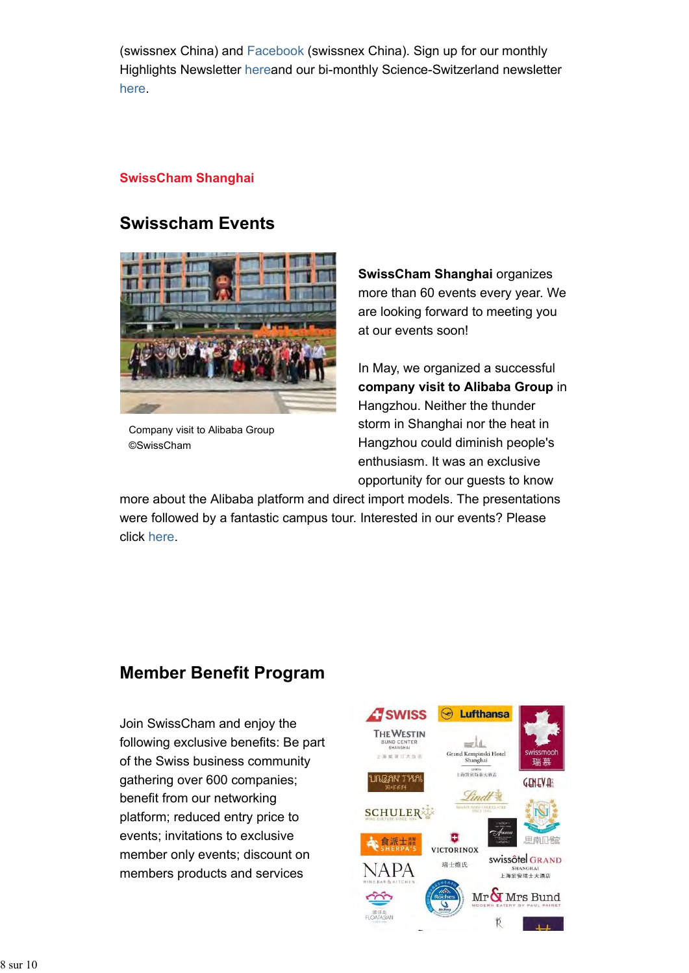(swissnex China) and Facebook (swissnex China). Sign up for our monthly Highlights Newsletter hereand our bi-monthly Science-Switzerland newsletter here.

#### **SwissCham Shanghai**

### **Swisscham Events**



Company visit to Alibaba Group ©SwissCham

**SwissCham Shanghai** organizes more than 60 events every year. We are looking forward to meeting you at our events soon!

In May, we organized a successful **company visit to Alibaba Group** in Hangzhou. Neither the thunder storm in Shanghai nor the heat in Hangzhou could diminish people's enthusiasm. It was an exclusive opportunity for our guests to know

more about the Alibaba platform and direct import models. The presentations were followed by a fantastic campus tour. Interested in our events? Please click here.

## **Member Benefit Program**

Join SwissCham and enjoy the following exclusive benefits: Be part of the Swiss business community gathering over 600 companies; benefit from our networking platform; reduced entry price to events; invitations to exclusive member only events; discount on members products and services

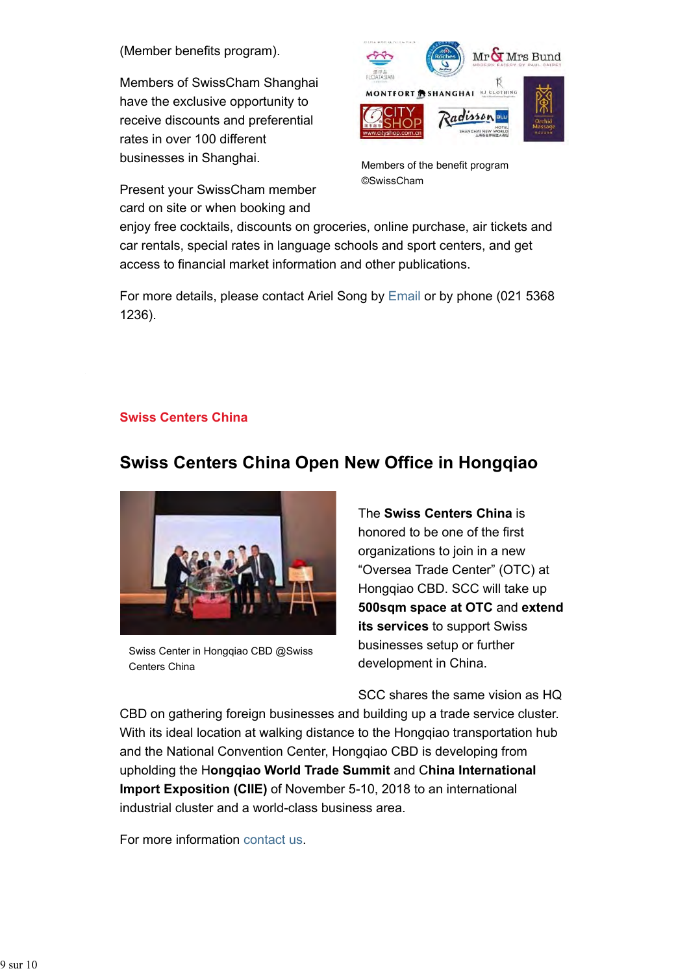(Member benefits program).

Members of SwissCham Shanghai have the exclusive opportunity to receive discounts and preferential rates in over 100 different businesses in Shanghai.

Present your SwissCham member card on site or when booking and



Members of the benefit program ©SwissCham

enjoy free cocktails, discounts on groceries, online purchase, air tickets and car rentals, special rates in language schools and sport centers, and get access to financial market information and other publications.

For more details, please contact Ariel Song by Email or by phone (021 5368 1236).

#### **Swiss Centers China**

## **Swiss Centers China Open New Office in Hongqiao**



Swiss Center in Hongqiao CBD @Swiss Centers China

The **Swiss Centers China** is honored to be one of the first organizations to join in a new "Oversea Trade Center" (OTC) at Hongqiao CBD. SCC will take up **500sqm space at OTC** and **extend its services** to support Swiss businesses setup or further development in China.

SCC shares the same vision as HQ

CBD on gathering foreign businesses and building up a trade service cluster. With its ideal location at walking distance to the Hongqiao transportation hub and the National Convention Center, Hongqiao CBD is developing from upholding the H**ongqiao World Trade Summit** and C**hina International Import Exposition (CIIE)** of November 5-10, 2018 to an international industrial cluster and a world-class business area.

For more information contact us.